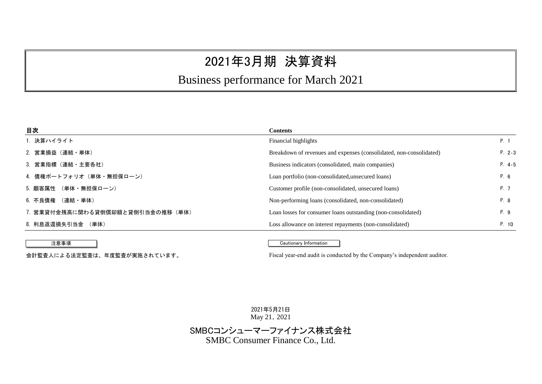# 2021年3月期 決算資料

# Business performance for March 2021

| 1. 決算ハイライト<br>Financial highlights<br>P. 1<br>2. 営業損益(連結・単体)<br>Breakdown of revenues and expenses (consolidated, non-consolidated)<br>3. 営業指標(連結・主要各社)<br>Business indicators (consolidated, main companies) | <b>Contents</b> |          |
|---------------------------------------------------------------------------------------------------------------------------------------------------------------------------------------------------------------|-----------------|----------|
|                                                                                                                                                                                                               |                 |          |
|                                                                                                                                                                                                               |                 | $P. 2-3$ |
|                                                                                                                                                                                                               |                 | $P. 4-5$ |
| 4. 債権ポートフォリオ(単体・無担保ローン)<br>Loan portfolio (non-consolidated, unsecured loans)                                                                                                                                 |                 | P. 6     |
| 5. 顧客属性 (単体・無担保ローン)<br>P. 7<br>Customer profile (non-consolidated, unsecured loans)                                                                                                                           |                 |          |
| 6. 不良債権 (連結·単体)<br>Non-performing loans (consolidated, non-consolidated)                                                                                                                                      |                 | P. 8     |
| 7. 営業貸付金残高に関わる貸倒償却額と貸倒引当金の推移(単体)<br>P. 9<br>Loan losses for consumer loans outstanding (non-consolidated)                                                                                                     |                 |          |
| 8. 利息返還損失引当金 (単体)<br>Loss allowance on interest repayments (non-consolidated)                                                                                                                                 |                 | P. 10    |

#### 注意事項 Cautionary Information

会計監査人による法定監査は、年度監査が実施されています。 Fiscal year-end audit is conducted by the Company's independent auditor.

2021年5月21日 May 21, 2021

SMBCコンシューマーファイナンス株式会社 SMBC Consumer Finance Co., Ltd.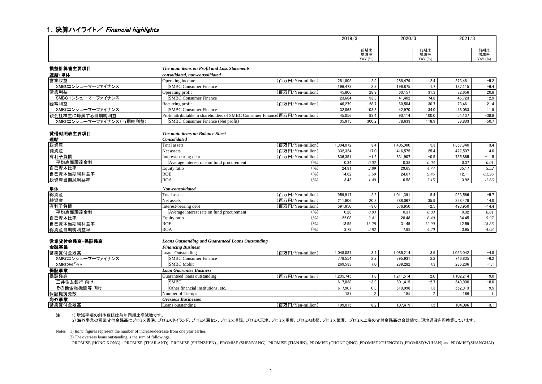#### 1. 決算ハイライト/ Financial highlights

| 2019/3               | 2020/3               | 2021/3                                             |
|----------------------|----------------------|----------------------------------------------------|
| 前期比<br>増減率<br>YoY(%) | 前期比<br>増減率<br>YoY (% | <b>CALL 4471 113</b><br>削粉に<br>描述<br>瑁減≝<br>YoY (% |

| 損益計算書主要項目                | The main items on Profit and Loss Statements                                  |                   |           |        |           |        |           |          |
|--------------------------|-------------------------------------------------------------------------------|-------------------|-----------|--------|-----------|--------|-----------|----------|
| 連結・単体                    | consolidated, non-consolidated                                                |                   |           |        |           |        |           |          |
| 営業収益                     | Operating income                                                              | (百万円/Yen-million) | 281.805   | 2.9    | 288,479   | 2.4    | 273,481   | $-5.2$   |
| SMBCコンシューマーファイナンス        | <b>SMBC Consumer Finance</b>                                                  |                   | 196,478   | 2.2    | 199.875   | 1.7    | 187.115   | $-6.4$   |
| 営業利益                     | Operating profit                                                              | (百万円/Yen-million) | 45,806    | 28.9   | 60,157    | 31.3   | 72.656    | 20.8     |
| SMBCコンシューマーファイナンス        | <b>SMBC Consumer Finance</b>                                                  |                   | 23.684    | 53.3   | 41.402    | 74.8   | 46.723    | 12.9     |
| 経常利益                     | Recurring profit                                                              | (百万円/Yen-million) | 46.279    | 28.7   | 60.504    | 30.7   | 73.461    | 21.4     |
| SMBCコンシューマーファイナンス        | <b>SMBC Consumer Finance</b>                                                  |                   | 32.063    | 103.3  | 42.970    | 34.0   | 48.083    | 11.9     |
| 親会社株主に帰属する当期純利益          | Profit attributable to shareholders of SMBC Consumer Finance(百万円/Yen-million) |                   | 45.056    | 83.4   | 90,114    | 100.0  | 54.137    | $-39.9$  |
| SMBCコンシューマーファイナンス(当期純利益) | SMBC Consumer Finance (Net profit)                                            |                   | 35.915    | 300.2  | 78.633    | 118.9  | 38.803    | $-50.7$  |
|                          |                                                                               |                   |           |        |           |        |           |          |
| 貸借対照表主要項目                | The main items on Balance Sheet<br><b>Consolidated</b>                        |                   |           |        |           |        |           |          |
| 連結                       |                                                                               |                   |           |        |           |        |           |          |
| 総資産                      | <b>Total assets</b>                                                           | (百万円/Yen-million) | 1,334,072 | 3.4    | 1,405,000 | 5.3    | 1,357,840 | $-3.4$   |
| 純資産                      | Net assets                                                                    | (百万円/Yen-million) | 332.324   | 17.0   | 416.575   | 25.4   | 477.507   | 14.6     |
| 有利子負債                    | Interest-bearing debt                                                         | (百万円/Yen-million) | 836.351   | $-1.2$ | 831.907   | $-0.5$ | 735.865   | $-11.5$  |
| 平均表面調達金利                 | Average interest rate on fund procurement                                     | (96)              | 0.34      | 0.02   | 0.38      | 0.04   | 0.37      | $-0.01$  |
| 自己資本比率                   | Equity ratio                                                                  | (96)              | 24.91     | 2.89   | 29.65     | 4.74   | 35.17     | 5.52     |
| 自己資本当期純利益率               | <b>ROE</b>                                                                    | (96)              | 14.62     | 5.59   | 24.07     | 9.45   | 12.11     | $-11.96$ |
| 総資産当期純利益率                | <b>ROA</b>                                                                    | (96)              | 3.43      | 1.49   | 6.58      | 3.15   | 3.92      | $-2.66$  |
| <u>単体</u>                | Non-consolidated                                                              |                   |           |        |           |        |           |          |
| 総資産                      | <b>Total</b> assets                                                           | (百万円/Yen-million) | 959,917   | 2.2    | 1,011,391 | 5.4    | 953,566   | $-5.7$   |
| 純資産                      | Net assets                                                                    | (百万円/Yen-million) | 211.906   | 20.8   | 288.067   | 35.9   | 328,479   | 14.0     |
| 有利子負債                    | Interest-bearing debt                                                         | (百万円/Yen-million) | 591,950   | $-3.0$ | 576,950   | $-2.5$ | 493,950   | $-14.4$  |
| 平均表面調達金利                 | Average interest rate on fund procurement                                     | (96)              | 0.28      | 0.03   | 0.31      | 0.03   | 0.32      | 0.01     |
| 自己資本比率                   | Equity ratio                                                                  | (96)              | 22.08     | 3.41   | 28.48     | 6.40   | 34.45     | 5.97     |
| 自己資本当期純利益率               | <b>ROE</b>                                                                    | (96)              | 18.55     | 13.28  | 31.45     | 12.90  | 12.59     | $-18.86$ |
| 総資産当期純利益率                | <b>ROA</b>                                                                    | (96)              | 3.78      | 2.82   | 7.98      | 4.20   | 3.95      | $-4.03$  |
|                          |                                                                               |                   |           |        |           |        |           |          |
| 営業貸付金残高・保証残高             | <b>Loans Outstanding and Guaranteed Loans Outstanding</b>                     |                   |           |        |           |        |           |          |
| 金融事業                     | <b>Financing Business</b>                                                     |                   |           |        |           |        |           |          |
| 営業貸付金残高                  | Loans Outstanding                                                             | (百万円/Yen-million) | 1,048,087 | 3.4    | 1,085,214 | 3.5    | 1,033,042 | $-4.8$   |
| SMBCコンシューマーファイナンス        | <b>SMBC</b> Consumer Finance                                                  |                   | 778.554   | 2.2    | 795,931   | 2.2    | 746,835   | $-6.2$   |
| SMBCモビット                 | <b>SMBC</b> Mobit                                                             |                   | 269,533   | 7.0    | 289,282   | 7.3    | 286.206   | $-1.1$   |
| 保証事業                     | <b>Loan Guarantee Business</b>                                                |                   |           |        |           |        |           |          |

保証残高 Guaranteed loans outstanding (百万円/Yen-million) 1,235,745 -1.8 1,211,514 -2.0 1,102,214 -9.0 三井住友銀行 向け | |SMBC | 617,838 | -3.9 | 601,415 | -2.7 | 549,900 | -8.6 その他金融機関等 向け Other financial institutions, etc. 617,907 0.3 610,098 -1.3 552,313 -9.5 保証提携先数 Number of Tie-ups 187 | *-2* | 12 | 186 | *1* 海外事業 *Overseas Businesses* 営業貸付金残高 Loans outstanding (百万円/Yen-million) 109,015 8.2 107,419 -1.5 104,096 -3.1

注 1) 増減率欄の斜体数値は前年同期比増減数です。

2) 海外事業の営業貸付金残高はプロミス香港、プロミスタイランド、プロミス深セン、プロミス瀋陽、プロミス天津、プロミス重慶、プロミス成都、プロミス武漢、プロミス上海の貸付金残高の合計値で、現地通貨を円換算しています。

Notes 1) *Italic* figures represent the number of increase/decrease from one year earlier.

2) The overseas loans outstanding is the sum of followings;

PROMISE (HONG KONG) , PROMISE (THAILAND), PROMISE (SHENZHEN) , PROMISE (SHENYANG), PROMISE (THANJIN), PROMISE (CHONGQING) ,PROMISE (CHENGDU) ,PROMISE(WUHAN) and PROMISE(SHANGHAI)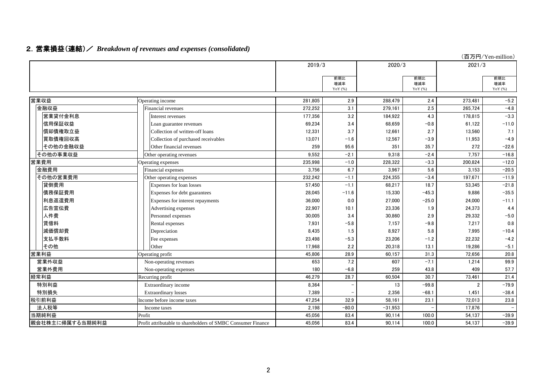|                 |                                                              |         |                         |           |                      |                | (百万円/Yen-million)        |
|-----------------|--------------------------------------------------------------|---------|-------------------------|-----------|----------------------|----------------|--------------------------|
|                 |                                                              | 2019/3  |                         | 2020/3    |                      | 2021/3         |                          |
|                 |                                                              |         | 前期比<br>増減率<br>YoY $(%)$ |           | 前期比<br>増減率<br>YoY(%) |                | 前期比<br>増減率<br>YoY $(%)$  |
| 営業収益            | Operating income                                             | 281.805 | 2.9                     | 288.479   | 2.4                  | 273.481        | $-5.2$                   |
| 金融収益            | Financial revenues                                           | 272,252 | 3.1                     | 279,161   | 2.5                  | 265,724        | $-4.8$                   |
| 営業貸付金利息         | Interest revenues                                            | 177,356 | 3.2                     | 184,922   | 4.3                  | 178,815        | $-3.3$                   |
| 信用保証収益          | Loan guarantee revenues                                      | 69,234  | 3.4                     | 68,659    | $-0.8$               | 61,122         | $-11.0$                  |
| 償却債権取立益         | Collection of written-off loans                              | 12,331  | 3.7                     | 12,661    | 2.7                  | 13,560         | 7.1                      |
| 買取債権回収高         | Collection of purchased receivables                          | 13.071  | $-1.6$                  | 12.567    | $-3.9$               | 11.953         | $-4.9$                   |
| その他の金融収益        | Other financial revenues                                     | 259     | 95.6                    | 351       | 35.7                 | 272            | $-22.6$                  |
| その他の事業収益        | Other operating revenues                                     | 9.552   | $-2.1$                  | 9.318     | $-2.4$               | 7.757          | $-16.8$                  |
| 営業費用            | Operating expenses                                           | 235,998 | $-1.0$                  | 228,322   | $-3.3$               | 200,824        | $-12.0$                  |
| 金融費用            | Financial expenses                                           | 3.756   | 6.7                     | 3,967     | 5.6                  | 3,153          | $-20.5$                  |
| その他の営業費用        | Other operating expenses                                     | 232.242 | $-1.1$                  | 224.355   | $-3.4$               | 197.671        | $-11.9$                  |
| 貸倒費用            | Expenses for loan losses                                     | 57.450  | $-1.1$                  | 68,217    | 18.7                 | 53,345         | $-21.8$                  |
| 債務保証費用          | Expenses for debt guarantees                                 | 28,045  | $-11.6$                 | 15.330    | $-45.3$              | 9.886          | $-35.5$                  |
| 利息返還費用          | Expenses for interest repayments                             | 36.000  | 0.0                     | 27.000    | $-25.0$              | 24,000         | $-11.1$                  |
| 広告宣伝費           | Advertising expenses                                         | 22,907  | 10.1                    | 23,336    | 1.9                  | 24,373         | 4.4                      |
| 人件費             | Personnel expenses                                           | 30,005  | 3.4                     | 30,860    | 2.9                  | 29,332         | $-5.0$                   |
| 賃借料             | Rental expenses                                              | 7.931   | $-5.8$                  | 7,157     | $-9.8$               | 7,217          | 0.8                      |
| 減価償却費           | Depreciation                                                 | 8.435   | 1.5                     | 8,927     | 5.8                  | 7,995          | $-10.4$                  |
| 支払手数料           | Fee expenses                                                 | 23,498  | $-5.3$                  | 23,206    | $-1.2$               | 22,232         | $-4.2$                   |
| その他             | Other                                                        | 17.968  | 2.2                     | 20.318    | 13.1                 | 19.286         | $-5.1$                   |
| 営業利益            | Operating profit                                             | 45.806  | 28.9                    | 60.157    | 31.3                 | 72.656         | 20.8                     |
| 営業外収益           | Non-operating revenues                                       | 653     | 7.2                     | 607       | $-7.1$               | 1,214          | 99.9                     |
| 営業外費用           | Non-operating expenses                                       | 180     | $-6.8$                  | 259       | 43.8                 | 409            | 57.7                     |
| 経常利益            | Recurring profit                                             | 46.279  | 28.7                    | 60.504    | 30.7                 | 73,461         | 21.4                     |
| 特別利益            | Extraordinary income                                         | 8,364   |                         | 13        | $-99.8$              | $\overline{2}$ | $-79.9$                  |
| 特別損失            | <b>Extraordinary losses</b>                                  | 7.389   |                         | 2.356     | $-68.1$              | 1,451          | $-38.4$                  |
| 税引前利益           | Income before income taxes                                   | 47.254  | 32.9                    | 58.161    | 23.1                 | 72.013         | 23.8                     |
| 法人税等            | Income taxes                                                 | 2,198   | $-80.0$                 | $-31,953$ |                      | 17,876         | $\overline{\phantom{0}}$ |
| 当期純利益           | Profit                                                       | 45,056  | 83.4                    | 90.114    | 100.0                | 54,137         | $-39.9$                  |
| 親会社株主に帰属する当期純利益 | Profit attributable to shareholders of SMBC Consumer Finance | 45.056  | 83.4                    | 90.114    | 100.0                | 54,137         | $-39.9$                  |

# 2.営業損益(連結)/ *Breakdown of revenues and expenses (consolidated)*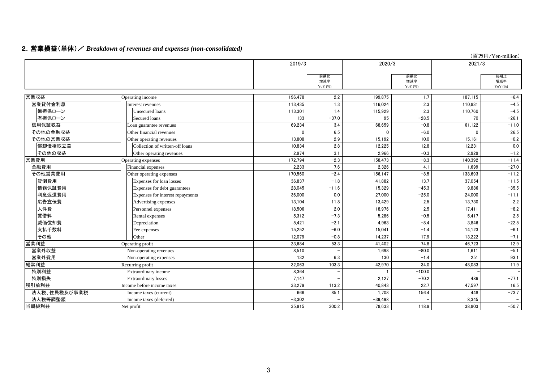### 2.営業損益(単体)/ *Breakdown of revenues and expenses (non-consolidated)*

|              |                                  |          |                         |           |                         |          | (百万円/Yen-million)       |
|--------------|----------------------------------|----------|-------------------------|-----------|-------------------------|----------|-------------------------|
|              |                                  | 2019/3   |                         | 2020/3    |                         | 2021/3   |                         |
|              |                                  |          | 前期比<br>増減率<br>YoY $(%)$ |           | 前期比<br>増減率<br>YoY $(%)$ |          | 前期比<br>増減率<br>YoY $(%)$ |
| 営業収益         | Operating income                 | 196.478  | 2.2                     | 199.875   | 1.7                     | 187.115  | $-6.4$                  |
| 営業貸付金利息      | Interest revenues                | 113,435  | 1.3                     | 116,024   | 2.3                     | 110,831  | $-4.5$                  |
| 無担保ローン       | Unsecured loans                  | 113,301  | 1.4                     | 115,929   | 2.3                     | 110,760  | $-4.5$                  |
| 有担保ローン       | Secured loans                    | 133      | $-37.0$                 | 95        | $-28.5$                 | 70       | $-26.1$                 |
| 信用保証収益       | Loan guarantee revenues          | 69,234   | 3.4                     | 68,659    | $-0.8$                  | 61,122   | $-11.0$                 |
| その他の金融収益     | Other financial revenues         | $\Omega$ | 6.5                     |           | $-6.0$                  | $\Omega$ | 26.5                    |
| その他の営業収益     | Other operating revenues         | 13,808   | 2.9                     | 15.192    | 10.0                    | 15,161   | $-0.2$                  |
| 償却債権取立益      | Collection of written-off loans  | 10,834   | 2.8                     | 12,225    | 12.8                    | 12,231   | 0.0                     |
| その他の収益       | Other operating revenues         | 2,974    | 3.1                     | 2.966     | $-0.3$                  | 2,929    | $-1.2$                  |
| 営業費用         | Operating expenses               | 172,794  | $-2.3$                  | 158.473   | $-8.3$                  | 140,392  | $-11.4$                 |
| 金融費用         | Financial expenses               | 2,233    | 7.6                     | 2.326     | 4.1                     | 1.699    | $-27.0$                 |
| その他営業費用      | Other operating expenses         | 170,560  | $-2.4$                  | 156,147   | $-8.5$                  | 138,693  | $-11.2$                 |
| 貸倒費用         | Expenses for loan losses         | 36,837   | $-1.8$                  | 41,882    | 13.7                    | 37,054   | $-11.5$                 |
| 債務保証費用       | Expenses for debt guarantees     | 28,045   | $-11.6$                 | 15,329    | $-45.3$                 | 9.886    | $-35.5$                 |
| 利息返還費用       | Expenses for interest repayments | 36,000   | 0.0                     | 27.000    | $-25.0$                 | 24,000   | $-11.1$                 |
| 広告宣伝費        | Advertising expenses             | 13,104   | 11.8                    | 13,429    | 2.5                     | 13,730   | 2.2                     |
| 人件費          | Personnel expenses               | 18,506   | 2.0                     | 18,976    | 2.5                     | 17,411   | $-8.2$                  |
| 賃借料          | Rental expenses                  | 5,312    | $-7.3$                  | 5.286     | $-0.5$                  | 5.417    | 2.5                     |
| 減価償却費        | Depreciation                     | 5,421    | $-2.1$                  | 4.963     | $-8.4$                  | 3.846    | $-22.5$                 |
| 支払手数料        | Fee expenses                     | 15,252   | $-6.0$                  | 15.041    | $-1.4$                  | 14,123   | $-6.1$                  |
| その他          | Other                            | 12,079   | $-0.8$                  | 14,237    | 17.9                    | 13,222   | $-7.1$                  |
| 営業利益         | Operating profit                 | 23.684   | 53.3                    | 41.402    | 74.8                    | 46.723   | 12.9                    |
| 営業外収益        | Non-operating revenues           | 8,510    |                         | 1,698     | $-80.0$                 | 1,611    | $-5.1$                  |
| 営業外費用        | Non-operating expenses           | 132      | 6.3                     | 130       | $-1.4$                  | 251      | 93.1                    |
| 経常利益         | Recurring profit                 | 32.063   | 103.3                   | 42,970    | 34.0                    | 48,083   | 11.9                    |
| 特別利益         | Extraordinary income             | 8,364    |                         |           | $-100.0$                |          |                         |
| 特別損失         | <b>Extraordinary losses</b>      | 7,147    |                         | 2,127     | $-70.2$                 | 486      | $-77.1$                 |
| 税引前利益        | Income before income taxes       | 33,279   | 113.2                   | 40.843    | 22.7                    | 47,597   | 16.5                    |
| 法人税、住民税及び事業税 | Income taxes (current)           | 666      | 85.1                    | 1.708     | 156.4                   | 448      | $-73.7$                 |
| 法人税等調整額      | Income taxes (deferred)          | $-3,302$ |                         | $-39,498$ |                         | 8,345    |                         |
| 当期純利益        | Net profit                       | 35,915   | 300.2                   | 78,633    | 118.9                   | 38,803   | $-50.7$                 |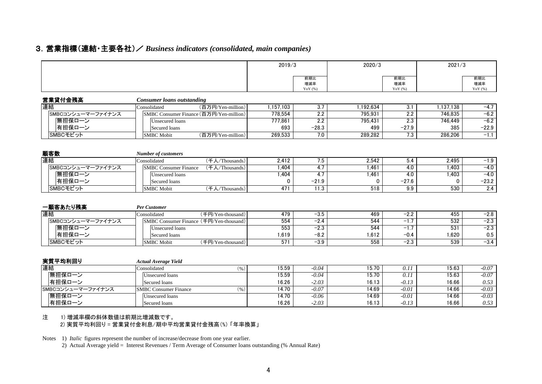### 3.営業指標(連結・主要各社)/ *Business indicators (consolidated, main companies)*

|                   |                                         |                                    | 2019/3    |                         | 2020/3           |                         | 2021/3    |                         |
|-------------------|-----------------------------------------|------------------------------------|-----------|-------------------------|------------------|-------------------------|-----------|-------------------------|
|                   |                                         |                                    |           | 前期比<br>増減率<br>YoY $(%)$ |                  | 前期比<br>増減率<br>YoY $(%)$ |           | 前期比<br>増減率<br>YoY $(%)$ |
| 営業貸付金残高           | <b>Consumer loans outstanding</b>       |                                    |           |                         |                  |                         |           |                         |
| 連結                | Consolidated                            | (百万円/Yen-million)                  | 1,157,103 | 3.7                     | 1.192.634        | 3.1                     | 1.137.138 | $-4.7$                  |
| SMBCコンシューマーファイナンス | SMBC Consumer Finance (百万円/Yen-million) |                                    | 778.554   | $\overline{2.2}$        | 795.931          | $\overline{2.2}$        | 746.835   | $-6.2$                  |
| 無担保ローン            | <b>Unsecured</b> loans                  |                                    | 777,861   | $\overline{2.2}$        | 795.431          | 2.3                     | 746.449   | $-6.2$                  |
| 有担保ローン            | Secured loans                           |                                    | 693       | $-28.3$                 | 499              | $-27.9$                 | 385       | $-22.9$                 |
| SMBCモビット          | <b>SMBC</b> Mobit                       | (百万円/Yen-million)                  | 269,533   | 7.0                     | 289,282          | $\overline{7.3}$        | 286,206   | $-1.1$                  |
| 顧客数               | <b>Number of customers</b>              |                                    |           |                         |                  |                         |           |                         |
| 連結                | Consolidated                            | (千人/Thousands)                     | 2.412     | 7.5                     | 2.542            | 5.4                     | 2.495     | $-1.9$                  |
| SMBCコンシューマーファイナンス | <b>SMBC Consumer Finance</b>            | $(\pm \lambda / \text{Thousands})$ | 1.404     | 4.7                     | 1.461            | 4.0                     | 1.403     | $-4.0$                  |
| 無担保ローン            | <b>Unsecured</b> loans                  |                                    | 1.404     | $\overline{4.7}$        | 1,461            | 4.0                     | 1.403     | $-4.0$                  |
| 有担保ローン            | Secured loans                           |                                    | $\Omega$  | $-21.9$                 | 0                | $-27.6$                 | 0         | $-23.2$                 |
| SMBCモビット          | <b>SMBC</b> Mobit                       | (千人/Thousands)                     | 471       | 11.3                    | $\overline{518}$ | 9.9                     | 530       | 2.4                     |
| 一顧客あたり残高          | <b>Per Customer</b>                     |                                    |           |                         |                  |                         |           |                         |
| 連結                | Consolidated                            | (千円/Yen-thousand)                  | 479       | $-3.5$                  | 469              | $-2.2$                  | 455       | $-2.8$                  |
| SMBCコンシューマーファイナンス | SMBC Consumer Finance (千円/Yen-thousand) |                                    | 554       | $-2.4$                  | 544              | $-1.7$                  | 532       | $-2.3$                  |
| 無担保ローン            | <b>Unsecured</b> loans                  |                                    | 553       | $-2.3$                  | 544              | $-1.7$                  | 531       | $-2.3$                  |
| 有担保ローン            | Secured loans                           |                                    | 1,619     | $-8.2$                  | 1,612            | $-0.4$                  | 1,620     | 0.5                     |
| SMBCモビット          | <b>SMBC</b> Mobit                       | (千円/Yen-thousand)                  | 571       | $-3.9$                  | 558              | $-2.3$                  | 539       | $-3.4$                  |
| 実質平均利回り           | <b>Actual Average Yield</b>             |                                    |           |                         |                  |                         |           |                         |
| 連結                | Consolidated                            | (96)                               | 15.59     | $-0.04$                 | 15.70            | 0.11                    | 15.63     | $-0.07$                 |
| 無担保ローン            | Unsecured loans                         |                                    | 15.59     | $-0.04$                 | 15.70            | 0.11                    | 15.63     | $-0.07$                 |
| 有担保ローン            | Secured loans                           |                                    | 16.26     | $-2.03$                 | 16.13            | $-0.13$                 | 16.66     | 0.53                    |
| SMBCコンシューマーファイナンス | <b>SMBC Consumer Finance</b>            | (96)                               | 14.70     | $-0.07$                 | 14.69            | $-0.01$                 | 14.66     | $-0.03$                 |
| 無担保ローン            | Unsecured loans                         |                                    | 14.70     | $-0.06$                 | 14.69            | $-0.01$                 | 14.66     | $-0.03$                 |
| 有担保ローン            | Secured loans                           |                                    | 16.26     | $-2.03$                 | 16.13            | $-0.13$                 | 16.66     | 0.53                    |

#### 注 1) 増減率欄の斜体数値は前期比増減数です。 2) 実質平均利回り = 営業貸付金利息/期中平均営業貸付金残高(%) 「年率換算」

Notes 1) *Italic* figures represent the number of increase/decrease from one year earlier.

2) Actual Average yield = Interest Revenues / Term Average of Consumer loans outstanding (% Annual Rate)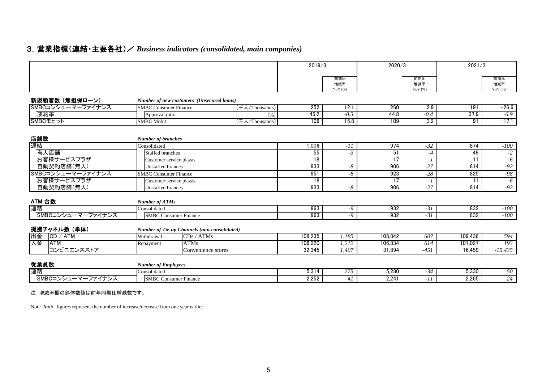# 3.営業指標(連結・主要各社)/ *Business indicators (consolidated, main companies)*

|                   |                              |                                                     | 2019/3  |                         | 2020/3  |                      | 2021/3  |                         |
|-------------------|------------------------------|-----------------------------------------------------|---------|-------------------------|---------|----------------------|---------|-------------------------|
|                   |                              |                                                     |         | 前期比<br>増減率<br>YoY $(%)$ |         | 前期比<br>増減率<br>YoY(%) |         | 前期比<br>増減率<br>YoY $(%)$ |
| 新規顧客数 (無担保ローン)    |                              | Number of new customers (Unsecured loans)           |         |                         |         |                      |         |                         |
| SMBCコンシューマーファイナンス | <b>SMBC Consumer Finance</b> | (千人/Thousands)                                      | 252     | 12.1                    | 260     | 2.9                  | 191     | $-26.6$                 |
| 成約率               | Approval ratio               | (96)                                                | 45.2    | $-0.3$                  | 44.8    | $-0.4$               | 37.9    | $-6.9$                  |
| SMBCモビット          | <b>SMBC</b> Mobit            | (千人/Thousands)                                      | 106     | 15.8                    | 109     | 3.2                  | 91      | $-17.1$                 |
| 店舗数               | <b>Number of branches</b>    |                                                     |         |                         |         |                      |         |                         |
| 連結                | Consolidated                 |                                                     | 1,006   | $-11$                   | 974     | $-32$                | 874     | $-100$                  |
| 有人店舗              | <b>Staffed branches</b>      |                                                     | 55      | $-3$                    | 51      | $-4$                 | 49      | $-2$                    |
| お客様サービスプラザ        | Customer service plazas      |                                                     | 18      |                         | 17      | - 1                  | 11      | $-6$                    |
| 自動契約店舗(無人)        | Unstaffed brances            |                                                     | 933     | $-8$                    | 906     | $-27$                | 814     | $-92$                   |
| SMBCコンシューマーファイナンス | <b>SMBC Consumer Finance</b> |                                                     | 951     | $-8$                    | 923     | $-28$                | 825     | $-98$                   |
| お客様サービスプラザ        | Customer service plazas      |                                                     | 18      |                         | 17      | $-I$                 | 11      | $-6$                    |
| 自動契約店舗(無人)        | <b>Unstaffed brances</b>     |                                                     | 933     | $-8$                    | 906     | $-27$                | 814     | $-92$                   |
| ATM 台数            | <b>Number of ATMs</b>        |                                                     |         |                         |         |                      |         |                         |
| 連結                | Consolidated                 |                                                     | 963     | -9                      | 932     | $-31$                | 832     | $-100$                  |
| SMBCコンシューマーファイナンス | <b>SMBC</b> Consumer Finance |                                                     | 963     | $-9$                    | 932     | $-31$                | 832     | $-100$                  |
| 提携チャネル数(単体)       |                              | <b>Number of Tie-up Channels (non-consolidated)</b> |         |                         |         |                      |         |                         |
| 出金<br> CD / ATM   | Withdrawal                   | CDs / ATMs                                          | 108.235 | 1.185                   | 108.842 | 607                  | 109.436 | 594                     |
| 入金<br>ATM         | Repayment                    | <b>ATMs</b>                                         | 106,220 | 1,212                   | 106.834 | 614                  | 107.027 | 193                     |
| コンビニエンスストア        |                              | Convenience stores                                  | 32,345  | 1,407                   | 31.894  | $-451$               | 16,459  | $-15,435$               |
| 従業員数              | <b>Number of Employees</b>   |                                                     |         |                         |         |                      |         |                         |
| 連結                | Consolidated                 |                                                     | 5.314   | 275                     | 5,280   | $-34$                | 5,330   | 50                      |
| SMBCコンシューマーファイナンス | <b>SMBC Consumer Finance</b> |                                                     | 2.252   | 41                      | 2.241   | $-11$                | 2,265   | $\overline{24}$         |

#### 注 増減率欄の斜体数値は前年同期比増減数です。

Note *Italic* figures represent the number of increase/decrease from one year earlier.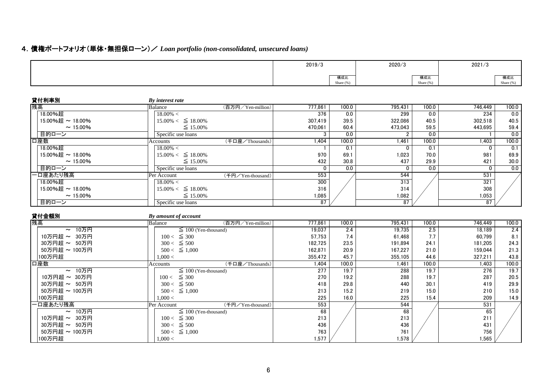# 4.債権ポートフォリオ(単体・無担保ローン)/ *Loan portfolio (non-consolidated, unsecured loans)*

|                |                                  | 2019/3       |                  | 2020/3          |                  | 2021/3               |                     |
|----------------|----------------------------------|--------------|------------------|-----------------|------------------|----------------------|---------------------|
|                |                                  |              | 構成比<br>Share (%) |                 | 構成比<br>Share (%) |                      | 構成比<br>Share $(% )$ |
| 貸付利率別          | <b>By interest rate</b>          |              |                  |                 |                  |                      |                     |
| 残高             | (百万円/Yen-million)<br>Balance     | 777.861      | 100.0            | 795,431         | 100.0            | 746.449              | 100.0               |
| 18.00%超        | $18.00\% <$                      | 376          | 0.0              | 299             | 0.0              | 234                  | 0.0                 |
| 15.00%超~18.00% | $15.00\% < \leq 18.00\%$         | 307.419      | 39.5             | 322.086         | 40.5             | 302.518              | 40.5                |
| $\sim$ 15.00%  | $\leq 15.00\%$                   | 470.061      | 60.4             | 473,043         | 59.5             | 443,695              | 59.4                |
| 目的ローン          | Specific use loans               | 3            | 0.0              | $\overline{2}$  | $\overline{0.0}$ | $\mathbf{1}$         | 0.0                 |
| 口座数            | (千口座/Thousands)<br>Accounts      | 1.404        | 100.0            | 1.461           | 100.0            | 1,403                | 100.0               |
| 18.00%超        | $18.00\% <$                      |              | $\overline{0.1}$ | 0               | 0.1              | $\mathbf 0$          | 0.1                 |
| 15.00%超~18.00% | $15.00\% < \leq 18.00\%$         | 970          | 69.1             | 1.023           | 70.0             | 981                  | 69.9                |
| $\sim$ 15.00%  | $\leq 15.00\%$                   | 432          | 30.8             | 437             | 29.9             | 421                  | 30.0                |
| 目的ローン          | Specific use loans               | $\mathbf{0}$ | $\overline{0.0}$ | $\Omega$        | $\overline{0.0}$ | $\Omega$             | 0.0                 |
| -口座あたり残高       | (千円/Yen-thousand)<br>Per Account | 553          |                  | 544             |                  | 531                  |                     |
| 18.00%超        | $18.00\% <$                      | 300          |                  | 313             |                  | 321                  |                     |
| 15.00%超~18.00% | $15.00\% < \leq 18.00\%$         | 316          |                  | 314             |                  | 308                  |                     |
| $\sim$ 15.00%  | $\leq 15.00\%$                   | 1,085        |                  | 1,082           |                  | 1,053                |                     |
| 目的ローン          | Specific use loans               | 87           |                  | $\overline{87}$ |                  | 87                   |                     |
| 貸付金額別          | By amount of account             |              |                  |                 |                  |                      |                     |
| 残高             | (百万円/Yen-million)<br>Balance     | 777.861      | 100.0            | 795,431         | 100.0            | $\overline{746,}449$ | 100.0               |
| ~ 10万円         | $\leq 100$ (Yen-thousand)        | 19,037       | 2.4              | 19,735          | 2.5              | 18,189               | 2.4                 |
| 10万円超 ~ 30万円   | $100 < \leq 300$                 | 57,753       | 7.4              | 61,468          | 7.7              | 60,799               | 8.1                 |
| 30万円超 ~ 50万円   | $300 < \leq 500$                 | 182,725      | 23.5             | 191,894         | 24.1             | 181,205              | 24.3                |
| 50万円超 ~ 100万円  | $500 < \leq 1.000$               | 162.871      | 20.9             | 167.227         | 21.0             | 159.044              | 21.3                |
| 100万円超         | 1,000 <                          | 355,472      | 45.7             | 355,105         | 44.6             | 327,211              | 43.8                |
| 口座数            | (千口座/Thousands)<br>Accounts      | 1.404        | 100.0            | 1.461           | 100.0            | 1.403                | 100.0               |
| ~ 10万円         | $\leq 100$ (Yen-thousand)        | 277          | 19.7             | 288             | 19.7             | 276                  | 19.7                |
| 10万円超 ~ 30万円   | $100 < \leq 300$                 | 270          | 19.2             | 288             | 19.7             | 287                  | 20.5                |
| 30万円超 ~ 50万円   | $300 < \leq 500$                 | 418          | 29.8             | 440             | 30.1             | 419                  | 29.9                |
| 50万円超 ~ 100万円  | $500 < \leq 1,000$               | 213          | 15.2             | 219             | 15.0             | 210                  | 15.0                |
| 100万円超         | 1,000 <                          | 225          | 16.0             | 225             | 15.4             | 209                  | 14.9                |
| -口座あたり残高       | (千円/Yen-thousand)<br>Per Account | 553          |                  | 544             |                  | 531                  |                     |
| ~ 10万円         | $\leq$ 100 (Yen-thousand)        | 68           |                  | 68              |                  | 65                   |                     |
| 10万円超 ~ 30万円   | $100 < \leq 300$                 | 213          |                  | 213             |                  | 211                  |                     |
| 30万円超 ~ 50万円   | $300 < \leq 500$                 | 436          |                  | 436             |                  | 431                  |                     |
| 50万円超 ~ 100万円  | $500 < \leq 1,000$               | 763          |                  | 761             |                  | 756                  |                     |
| 100万円超         | 1,000 <                          | 1,577        |                  | 1,578           |                  | 1,565                |                     |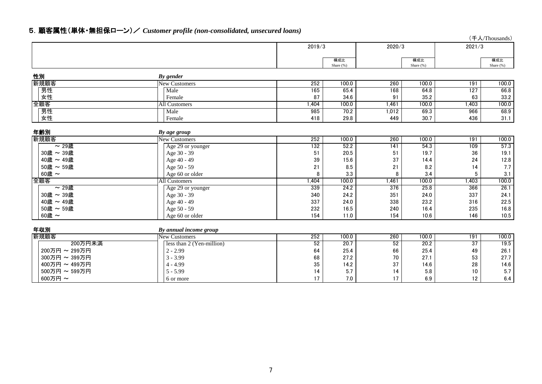# 5.顧客属性(単体・無担保ローン)/ *Customer profile (non-consolidated, unsecured loans)*

(千人/Thousands)

|                       |                           | 2019/3    |                  | 2020/3    |                  | 2021/3                 |                   |
|-----------------------|---------------------------|-----------|------------------|-----------|------------------|------------------------|-------------------|
|                       |                           |           |                  |           |                  |                        |                   |
|                       |                           |           | 構成比<br>Share (%) |           | 構成比<br>Share (%) |                        | 構成比<br>Share (%)  |
|                       |                           |           |                  |           |                  |                        |                   |
| 性別                    | By gender                 |           |                  |           |                  |                        |                   |
| 新規顧客                  | <b>New Customers</b>      | 252       | 100.0            | 260       | 100.0            | 191                    | 100.0             |
| 男性                    | Male                      | 165       | 65.4             | 168       | 64.8             | 127                    | 66.8              |
| 女性                    | Female                    | 87        | 34.6             | 91        | 35.2             | 63                     | 33.2              |
| 全顧客                   | <b>All Customers</b>      | 1.404     | 100.0            | 1,461     | 100.0            | 1.403                  | 100.0             |
| 男性                    | Male                      | 985       | 70.2             | 1,012     | 69.3             | 966                    | 68.9              |
| 女性                    | Female                    | 418       | 29.8             | 449       | 30.7             | 436                    | 31.1              |
|                       |                           |           |                  |           |                  |                        |                   |
| 年齢別                   | By age group              |           |                  |           |                  |                        |                   |
| 新規顧客                  | <b>New Customers</b>      | 252       | 100.0            | 260       | 100.0            | 191                    | 100.0             |
| $\overline{\sim}$ 29歳 | Age 29 or younger         | 132       | 52.2             | 141       | 54.3             | 109                    | $\overline{57.3}$ |
| 30歳 ~ 39歳             | Age 30 - 39               | 51        | 20.5             | 51        | 19.7             | 36                     | 19.1              |
| 40歳 ~ 49歳             | Age 40 - 49               | 39        | 15.6             | 37        | 14.4             | 24                     | 12.8              |
| 50歳 ~ 59歳             | Age 50 - 59               | 21        | 8.5              | 21        | 8.2              | 14                     | 7.7               |
| 60歳~                  | Age 60 or older           | 8         | 3.3              | 8         | 3.4              | 5                      | 3.1               |
| 全顧客                   | <b>All Customers</b>      | 1,404     | 100.0            | 1,461     | 100.0            | 1,403                  | 100.0             |
| $\sim$ 29歳            | Age 29 or younger         | 339       | 24.2             | 376       | 25.8             | 366                    | 26.1              |
| 30歳 ~ 39歳             | Age 30 - 39               | 340       | 24.2             | 351       | 24.0             | 337                    | 24.1              |
| 40歳 ~ 49歳             | Age 40 - 49               | 337       | 24.0             | 338       | 23.2             | 316                    | 22.5              |
| 50歳 ~ 59歳             | Age 50 - 59               | 232       | 16.5             | 240       | 16.4             | 235                    | 16.8              |
| 60歳~                  | Age 60 or older           | 154       | 11.0             | 154       | 10.6             | 146                    | 10.5              |
|                       |                           |           |                  |           |                  |                        |                   |
| 年収別                   | By annual income group    |           |                  |           |                  |                        |                   |
| 新規顧客<br>200万円未満       | New Customers             | 252<br>52 | 100.0<br>20.7    | 260<br>52 | 100.0<br>20.2    | 191<br>$\overline{37}$ | 100.0<br>19.5     |
|                       | less than 2 (Yen-million) |           |                  |           |                  |                        | 26.1              |
| 200万円 ~ 299万円         | $2 - 2.99$                | 64        | 25.4             | 66        | 25.4             | 49                     |                   |
| 300万円~399万円           | $3 - 3.99$                | 68        | 27.2             | 70        | 27.1             | 53                     | 27.7              |
| 400万円~499万円           | $4 - 4.99$                | 35        | 14.2             | 37        | 14.6             | 28                     | 14.6              |
| 500万円~599万円           | $5 - 5.99$                | 14        | 5.7              | 14        | 5.8              | 10                     | 5.7               |
| 600万円~                | 6 or more                 | 17        | 7.0              | 17        | 6.9              | 12                     | 6.4               |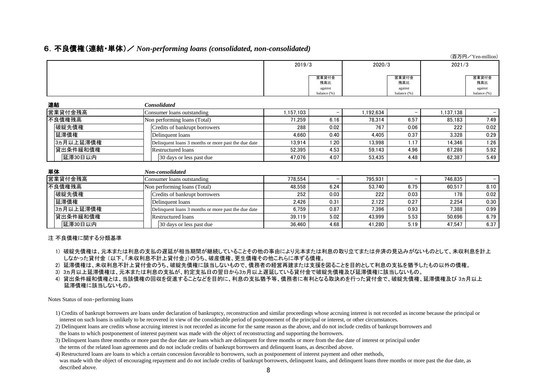### 6.不良債権(連結・単体)/ *Non-performing loans (consolidated, non-consolidated)*

| (百万円/Yen-million) |  |                                                     |           |              |           |              |           |                   |  |
|-------------------|--|-----------------------------------------------------|-----------|--------------|-----------|--------------|-----------|-------------------|--|
|                   |  |                                                     | 2019/3    |              | 2020/3    |              | 2021/3    |                   |  |
|                   |  |                                                     |           |              |           |              |           |                   |  |
|                   |  |                                                     |           | 営業貸付金<br>残高比 |           | 営業貸付金<br>残高比 |           | 営業貸付金<br>残高比      |  |
|                   |  |                                                     |           | against      |           | against      |           | against           |  |
|                   |  |                                                     |           | balance (%)  |           | balance (%)  |           | balance (%)       |  |
| 連結                |  | <b>Consolidated</b>                                 |           |              |           |              |           |                   |  |
| 営業貸付金残高           |  | Consumer loans outstanding                          | 1,157,103 |              | 1,192,634 |              | 1,137,138 | $\qquad \qquad -$ |  |
| 不良債権残高            |  | Non performing loans (Total)                        | 71,259    | 6.16         | 78,314    | 6.57         | 85,183    | 7.49              |  |
| 破綻先債権             |  | Credits of bankrupt borrowers                       | 288       | 0.02         | 767       | 0.06         | 222       | 0.02              |  |
| 延滞債権              |  | Delinquent loans                                    | 4,660     | 0.40         | 4,405     | 0.37         | 3,328     | 0.29              |  |
| 3ヵ月以上延滞債権         |  | Delinquent loans 3 months or more past the due date | 13,914    | 1.20         | 13,998    | 1.17         | 14,346    | 1.26              |  |
| 貸出条件緩和債権          |  | <b>Restructured loans</b>                           | 52,395    | 4.53         | 59,143    | 4.96         | 67,286    | 5.92              |  |
| 延滞30日以内           |  | 30 days or less past due                            | 47,076    | 4.07         | 53,435    | 4.48         | 62,387    | 5.49              |  |
| 単体                |  | Non-consolidated                                    |           |              |           |              |           |                   |  |
| 営業貸付金残高           |  | Consumer loans outstanding                          | 778,554   |              | 795,931   |              | 746,835   |                   |  |
| 不良債権残高            |  | Non performing loans (Total)                        | 48,558    | 6.24         | 53,740    | 6.75         | 60,517    | 8.10              |  |
| 破綻先債権             |  | Credits of bankrupt borrowers                       | 252       | 0.03         | 222       | 0.03         | 178       | 0.02              |  |
| 延滞債権              |  | Delinquent loans                                    | 2,426     | 0.31         | 2,122     | 0.27         | 2,254     | 0.30              |  |
| 3ヵ月以上延滞債権         |  | Delinquent loans 3 months or more past the due date | 6,759     | 0.87         | 7,396     | 0.93         | 7,388     | 0.99              |  |
| 貸出条件緩和債権          |  | <b>Restructured loans</b>                           | 39,119    | 5.02         | 43,999    | 5.53         | 50,696    | 6.79              |  |
| 延滞30日以内           |  | 30 days or less past due                            | 36,460    | 4.68         | 41,280    | 5.19         | 47,547    | 6.37              |  |

#### 注 不良債権に関する分類基準

- 1) 破綻先債権は、元本または利息の支払の遅延が相当期間が継続していることその他の事由により元本または利息の取り立てまたは弁済の見込みがないものとして、未収利息を計上 しなかった貸付金 (以下、「未収利息不計上貸付金」)のうち、破産債権、更生債権その他これらに準ずる債権。
- 2) 延滞債権は、未収利息不計上貸付金のうち、破綻先債権に該当しないもので、債務者の経営再建または支援を図ることを目的として利息の支払を猶予したもの以外の債権。
- 3) 3ヵ月以上延滞債権は、元本または利息の支払が、約定支払日の翌日から3ヵ月以上遅延している貸付金で破綻先債権及び延滞債権に該当しないもの。
- 4) 貸出条件緩和債権とは、当該債権の回収を促進することなどを目的に、利息の支払猶予等、債務者に有利となる取決めを行った貸付金で、破綻先債権、延滞債権及び 3ヵ月以上 延滞債権に該当しないもの。

Notes Status of non‐performing loans

- 1) Credits of bankrupt borrowers are loans under declaration of bankruptcy, reconstruction and similar proceedings whose accruing interest is not recorded as income because the principal or interest on such loans is unlikely to be recovered in view of the considerable period of postponement of the principal or interest, or other circumstances.
- 2) Delinquent loans are credits whose accruing interest is not recorded as income for the same reason as the above, and do not include credits of bankrupt borrowers and the loans to which postponement of interest payment was made with the object of reconstructing and supporting the borrowers.
- 3) Delinquent loans three months or more past the due date are loans which are delinquent for three months or more from the due date of interest or principal under the terms of the related loan agreements and do not include credits of bankrupt borrowers and delinquent loans, as described above.
- 4) Restructured loans are loans to which a certain concession favorable to borrowers, such as postponement of interest payment and other methods, was made with the object of encouraging repayment and do not include credits of bankrupt borrowers, delinquent loans, and delinquent loans three months or more past the due date, as described above.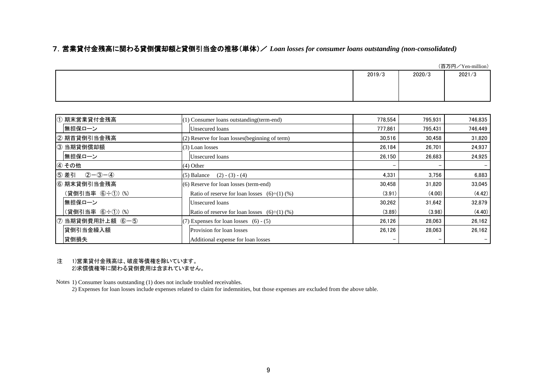### 7.営業貸付金残高に関わる貸倒償却額と貸倒引当金の推移(単体)/ *Loan losses for consumer loans outstanding (non-consolidated)*

|        |        | (百万円/Yen-million) |
|--------|--------|-------------------|
| 2019/3 | 2020/3 | 2021/3            |
|        |        |                   |
|        |        |                   |
|        |        |                   |

| ① 期末営業貸付金残高           | $(1)$ Consumer loans outstanding (term-end)         | 778.554 | 795,931 | 746,835 |
|-----------------------|-----------------------------------------------------|---------|---------|---------|
| 無担保ローン                | Unsecured loans                                     | 777,861 | 795,431 | 746,449 |
| ② 期首貸倒引当金残高           | $(2)$ Reserve for loan losses (beginning of term)   | 30,516  | 30,458  | 31,820  |
| 3 当期貸倒償却額             | $(3)$ Loan losses                                   | 26.184  | 26,701  | 24,937  |
| 無担保ローン                | Unsecured loans                                     | 26.150  | 26.683  | 24,925  |
| ④ その他                 | $(4)$ Other                                         |         |         |         |
| $(2 - 3 - 4)$<br>5 差引 | $(2) - (3) - (4)$<br>$(5)$ Balance                  | 4,331   | 3,756   | 6,883   |
| 6 期末貸倒引当金残高           | $(6)$ Reserve for loan losses (term-end)            | 30,458  | 31,820  | 33,045  |
| (貸倒引当率 6÷1) (%)       | Ratio of reserve for loan losses $(6) \div (1)$ (%) | (3.91)  | (4.00)  | (4.42)  |
| 無担保ローン                | Unsecured loans                                     | 30,262  | 31,642  | 32,879  |
| (貸倒引当率 6÷1) (%)       | Ratio of reserve for loan losses $(6) \div (1)$ (%) | (3.89)  | (3.98)  | (4.40)  |
| ⑦ 当期貸倒費用計上額 6-5       | $(7)$ Expenses for loan losses $(6) - (5)$          | 26,126  | 28.063  | 26,162  |
| 貸倒引当金繰入額              | Provision for loan losses                           | 26,126  | 28,063  | 26,162  |
| 貸倒損失                  | Additional expense for loan losses                  |         |         |         |

#### 注 1)営業貸付金残高は、破産等債権を除いています。 2)求償債権等に関わる貸倒費用は含まれていません。

Notes 1) Consumer loans outstanding (1) does not include troubled receivables.

2) Expenses for loan losses include expenses related to claim for indemnities, but those expenses are excluded from the above table.